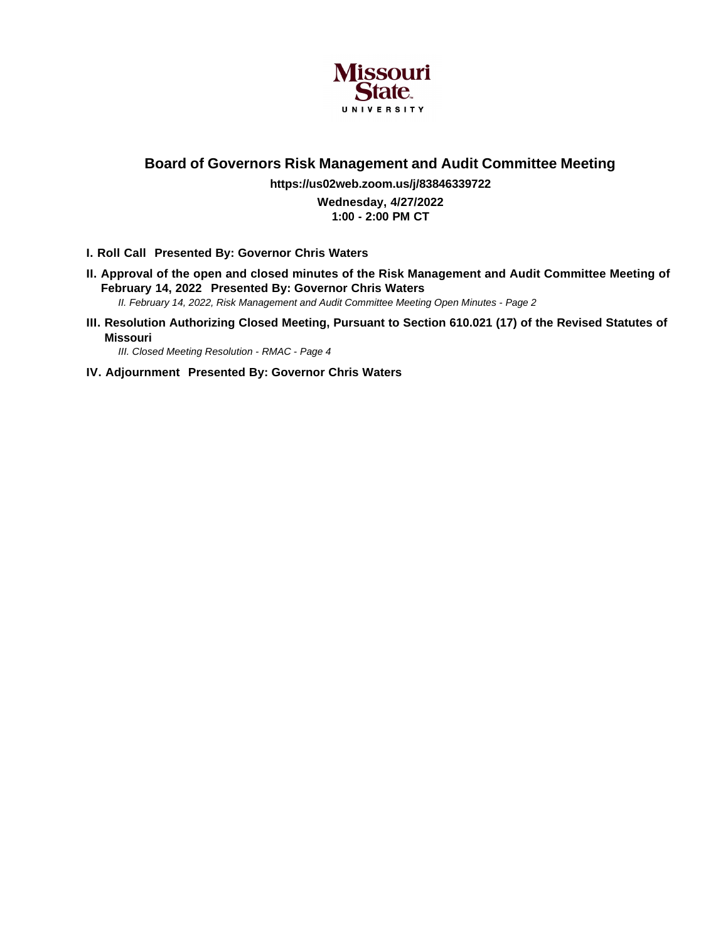

## **Board of Governors Risk Management and Audit Committee Meeting**

**https://us02web.zoom.us/j/83846339722 Wednesday, 4/27/2022 1:00 - 2:00 PM CT**

- **I. Roll Call Presented By: Governor Chris Waters**
- **II. Approval of the open and closed minutes of the Risk Management and Audit Committee Meeting of February 14, 2022 Presented By: Governor Chris Waters**
	- II. February 14, 2022, Risk Management and Audit Committee Meeting Open Minutes Page 2
- **III. Resolution Authorizing Closed Meeting, Pursuant to Section 610.021 (17) of the Revised Statutes of Missouri**

III. Closed Meeting Resolution - RMAC - Page 4

**IV. Adjournment Presented By: Governor Chris Waters**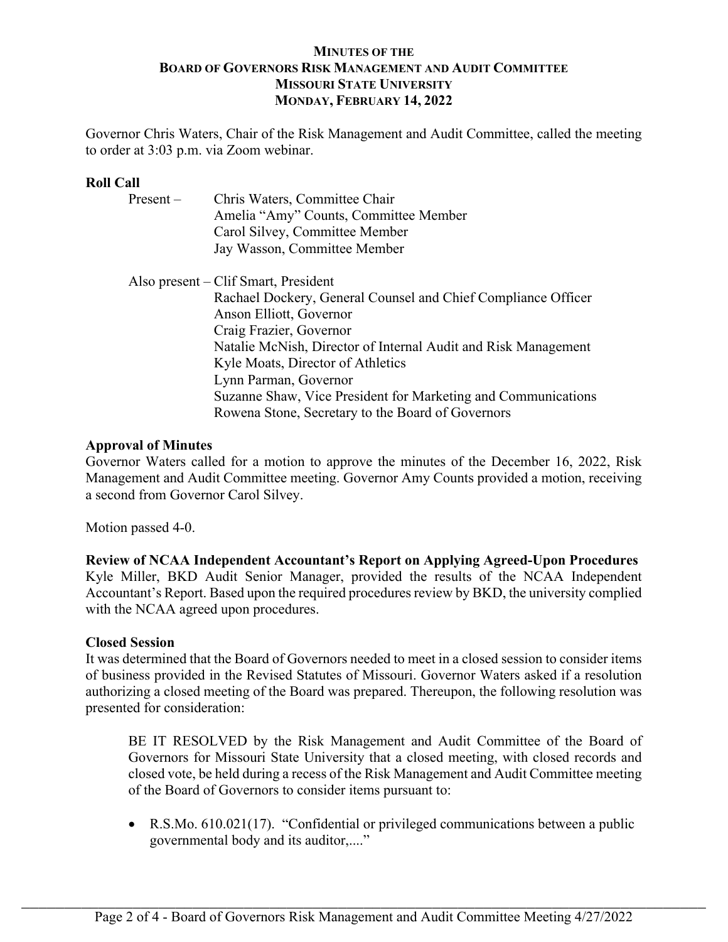## **MINUTES OF THE BOARD OF GOVERNORS RISK MANAGEMENT AND AUDIT COMMITTEE MISSOURI STATE UNIVERSITY MONDAY, FEBRUARY 14, 2022**

Governor Chris Waters, Chair of the Risk Management and Audit Committee, called the meeting to order at 3:03 p.m. via Zoom webinar.

## **Roll Call**

| $Present -$ | Chris Waters, Committee Chair                                  |
|-------------|----------------------------------------------------------------|
|             | Amelia "Amy" Counts, Committee Member                          |
|             | Carol Silvey, Committee Member                                 |
|             | Jay Wasson, Committee Member                                   |
|             | Also present – Clif Smart, President                           |
|             | Rachael Dockery, General Counsel and Chief Compliance Officer  |
|             | Anson Elliott, Governor                                        |
|             | Craig Frazier, Governor                                        |
|             | Natalie McNish, Director of Internal Audit and Risk Management |
|             | Kyle Moats, Director of Athletics                              |
|             | Lynn Parman, Governor                                          |
|             | Suzanne Shaw, Vice President for Marketing and Communications  |
|             | Rowena Stone, Secretary to the Board of Governors              |

## **Approval of Minutes**

Governor Waters called for a motion to approve the minutes of the December 16, 2022, Risk Management and Audit Committee meeting. Governor Amy Counts provided a motion, receiving a second from Governor Carol Silvey.

Motion passed 4-0.

**Review of NCAA Independent Accountant's Report on Applying Agreed-Upon Procedures** Kyle Miller, BKD Audit Senior Manager, provided the results of the NCAA Independent Accountant's Report. Based upon the required procedures review by BKD, the university complied with the NCAA agreed upon procedures.

### **Closed Session**

It was determined that the Board of Governors needed to meet in a closed session to consider items of business provided in the Revised Statutes of Missouri. Governor Waters asked if a resolution authorizing a closed meeting of the Board was prepared. Thereupon, the following resolution was presented for consideration:

BE IT RESOLVED by the Risk Management and Audit Committee of the Board of Governors for Missouri State University that a closed meeting, with closed records and closed vote, be held during a recess of the Risk Management and Audit Committee meeting of the Board of Governors to consider items pursuant to:

 R.S.Mo. 610.021(17). "Confidential or privileged communications between a public governmental body and its auditor,...."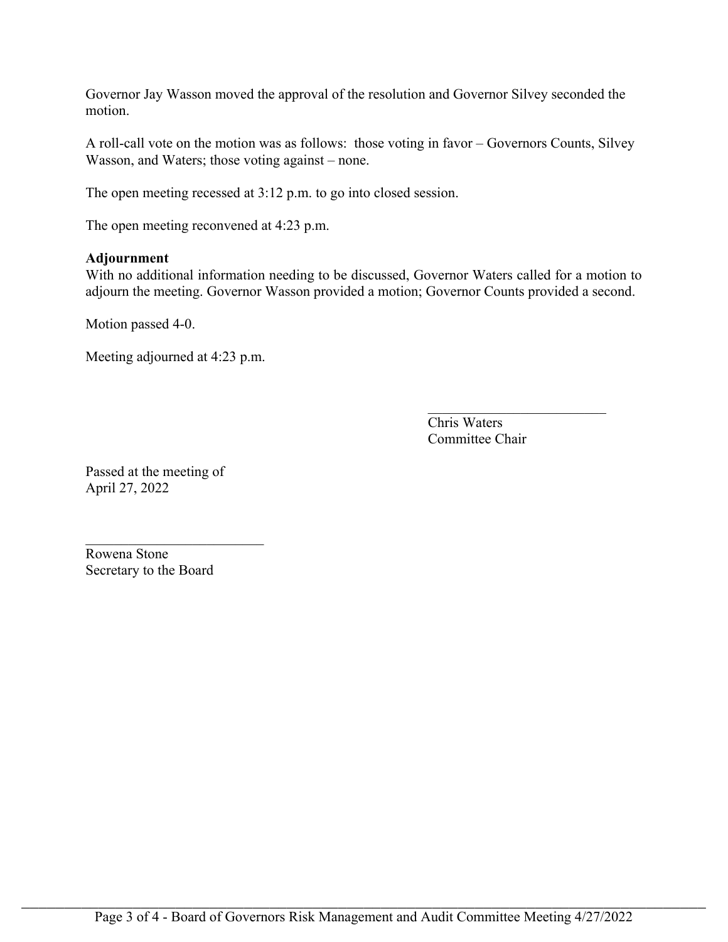Governor Jay Wasson moved the approval of the resolution and Governor Silvey seconded the motion.

A roll-call vote on the motion was as follows: those voting in favor – Governors Counts, Silvey Wasson, and Waters; those voting against – none.

The open meeting recessed at 3:12 p.m. to go into closed session.

The open meeting reconvened at 4:23 p.m.

### **Adjournment**

With no additional information needing to be discussed, Governor Waters called for a motion to adjourn the meeting. Governor Wasson provided a motion; Governor Counts provided a second.

Motion passed 4-0.

Meeting adjourned at 4:23 p.m.

Chris Waters Committee Chair

 $\mathcal{L}_\text{max}$  , where  $\mathcal{L}_\text{max}$  , we have the set of the set of the set of the set of the set of the set of the set of the set of the set of the set of the set of the set of the set of the set of the set of the set of

Passed at the meeting of April 27, 2022

Rowena Stone Secretary to the Board

 $\mathcal{L}_\text{max}$  , where  $\mathcal{L}_\text{max}$  , we have the set of the set of the set of the set of the set of the set of the set of the set of the set of the set of the set of the set of the set of the set of the set of the set of